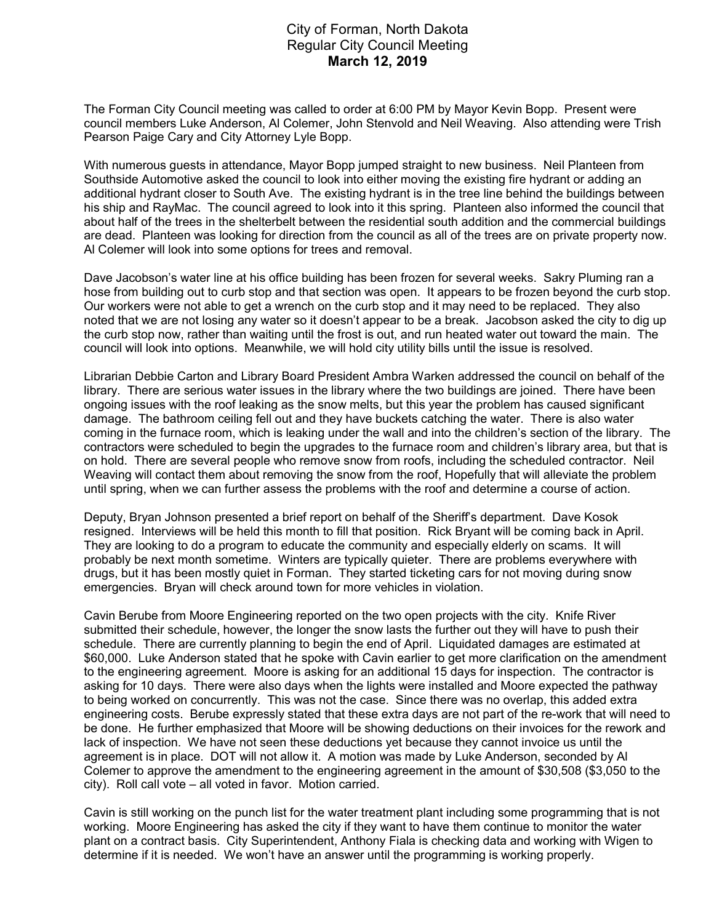## City of Forman, North Dakota Regular City Council Meeting March 12, 2019

The Forman City Council meeting was called to order at 6:00 PM by Mayor Kevin Bopp. Present were council members Luke Anderson, Al Colemer, John Stenvold and Neil Weaving. Also attending were Trish Pearson Paige Cary and City Attorney Lyle Bopp.

With numerous guests in attendance, Mayor Bopp jumped straight to new business. Neil Planteen from Southside Automotive asked the council to look into either moving the existing fire hydrant or adding an additional hydrant closer to South Ave. The existing hydrant is in the tree line behind the buildings between his ship and RayMac. The council agreed to look into it this spring. Planteen also informed the council that about half of the trees in the shelterbelt between the residential south addition and the commercial buildings are dead. Planteen was looking for direction from the council as all of the trees are on private property now. Al Colemer will look into some options for trees and removal.

Dave Jacobson's water line at his office building has been frozen for several weeks. Sakry Pluming ran a hose from building out to curb stop and that section was open. It appears to be frozen beyond the curb stop. Our workers were not able to get a wrench on the curb stop and it may need to be replaced. They also noted that we are not losing any water so it doesn't appear to be a break. Jacobson asked the city to dig up the curb stop now, rather than waiting until the frost is out, and run heated water out toward the main. The council will look into options. Meanwhile, we will hold city utility bills until the issue is resolved.

Librarian Debbie Carton and Library Board President Ambra Warken addressed the council on behalf of the library. There are serious water issues in the library where the two buildings are joined. There have been ongoing issues with the roof leaking as the snow melts, but this year the problem has caused significant damage. The bathroom ceiling fell out and they have buckets catching the water. There is also water coming in the furnace room, which is leaking under the wall and into the children's section of the library. The contractors were scheduled to begin the upgrades to the furnace room and children's library area, but that is on hold. There are several people who remove snow from roofs, including the scheduled contractor. Neil Weaving will contact them about removing the snow from the roof, Hopefully that will alleviate the problem until spring, when we can further assess the problems with the roof and determine a course of action.

Deputy, Bryan Johnson presented a brief report on behalf of the Sheriff's department. Dave Kosok resigned. Interviews will be held this month to fill that position. Rick Bryant will be coming back in April. They are looking to do a program to educate the community and especially elderly on scams. It will probably be next month sometime. Winters are typically quieter. There are problems everywhere with drugs, but it has been mostly quiet in Forman. They started ticketing cars for not moving during snow emergencies. Bryan will check around town for more vehicles in violation.

Cavin Berube from Moore Engineering reported on the two open projects with the city. Knife River submitted their schedule, however, the longer the snow lasts the further out they will have to push their schedule. There are currently planning to begin the end of April. Liquidated damages are estimated at \$60,000. Luke Anderson stated that he spoke with Cavin earlier to get more clarification on the amendment to the engineering agreement. Moore is asking for an additional 15 days for inspection. The contractor is asking for 10 days. There were also days when the lights were installed and Moore expected the pathway to being worked on concurrently. This was not the case. Since there was no overlap, this added extra engineering costs. Berube expressly stated that these extra days are not part of the re-work that will need to be done. He further emphasized that Moore will be showing deductions on their invoices for the rework and lack of inspection. We have not seen these deductions yet because they cannot invoice us until the agreement is in place. DOT will not allow it. A motion was made by Luke Anderson, seconded by Al Colemer to approve the amendment to the engineering agreement in the amount of \$30,508 (\$3,050 to the city). Roll call vote – all voted in favor. Motion carried.

Cavin is still working on the punch list for the water treatment plant including some programming that is not working. Moore Engineering has asked the city if they want to have them continue to monitor the water plant on a contract basis. City Superintendent, Anthony Fiala is checking data and working with Wigen to determine if it is needed. We won't have an answer until the programming is working properly.